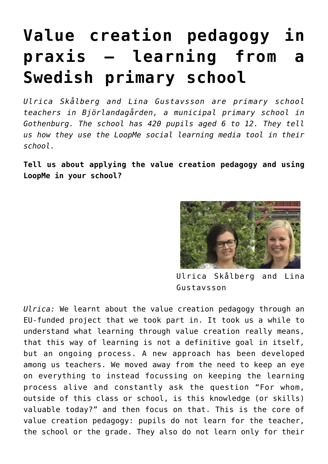## **[Value creation pedagogy in](http://entreassess.com/2018/02/18/value-creation-pedagogy-in-praxis-learning-from-a-swedish-primary-school/) [praxis – learning from a](http://entreassess.com/2018/02/18/value-creation-pedagogy-in-praxis-learning-from-a-swedish-primary-school/) [Swedish primary school](http://entreassess.com/2018/02/18/value-creation-pedagogy-in-praxis-learning-from-a-swedish-primary-school/)**

*Ulrica Skålberg and Lina Gustavsson are primary school teachers in Björlandagården, a municipal primary school in Gothenburg. The school has 420 pupils aged 6 to 12. They tell us how they use the LoopMe social learning media tool in their school.*

**Tell us about applying the [value creation pedagogy](http://vcplist.com/archives/600) and using [LoopMe](http://www.loopme.io) in your school?**



Ulrica Skålberg and Lina Gustavsson

*Ulrica:* We learnt about the value creation pedagogy through an EU-funded [project](https://twitter.com/entrepreneurvh) that we took part in. It took us a while to understand what learning through value creation really means, that this way of learning is not a definitive goal in itself, but an ongoing process. A new approach has been developed among us teachers. We moved away from the need to keep an eye on everything to instead focussing on keeping the learning process alive and constantly ask the question "For whom, outside of this class or school, is this knowledge (or skills) valuable today?" and then focus on that. This is the core of value creation pedagogy: pupils do not learn for the teacher, the school or the grade. They also do not learn only for their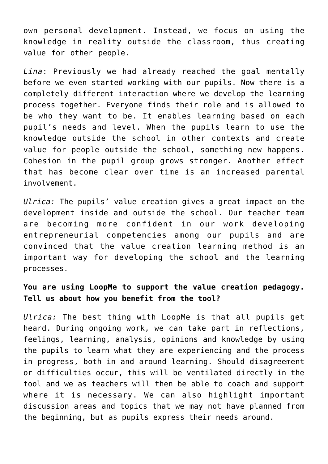own personal development. Instead, we focus on using the knowledge in reality outside the classroom, thus creating value for other people.

*Lina*: Previously we had already reached the goal mentally before we even started working with our pupils. Now there is a completely different interaction where we develop the learning process together. Everyone finds their role and is allowed to be who they want to be. It enables learning based on each pupil's needs and level. When the pupils learn to use the knowledge outside the school in other contexts and create value for people outside the school, something new happens. Cohesion in the pupil group grows stronger. Another effect that has become clear over time is an increased parental involvement.

*Ulrica:* The pupils' value creation gives a great impact on the development inside and outside the school. Our teacher team are becoming more confident in our work developing entrepreneurial competencies among our pupils and are convinced that the value creation learning method is an important way for developing the school and the learning processes.

## **You are using LoopMe to support the value creation pedagogy. Tell us about how you benefit from the tool?**

*Ulrica:* The best thing with LoopMe is that all pupils get heard. During ongoing work, we can take part in reflections, feelings, learning, analysis, opinions and knowledge by using the pupils to learn what they are experiencing and the process in progress, both in and around learning. Should disagreement or difficulties occur, this will be ventilated directly in the tool and we as teachers will then be able to coach and support where it is necessary. We can also highlight important discussion areas and topics that we may not have planned from the beginning, but as pupils express their needs around.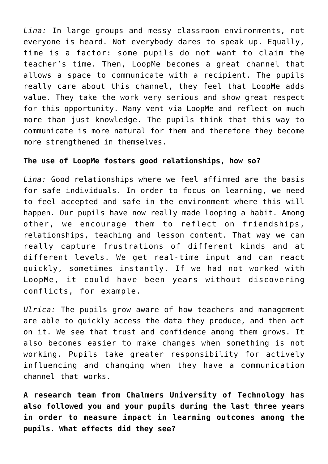*Lina:* In large groups and messy classroom environments, not everyone is heard. Not everybody dares to speak up. Equally, time is a factor: some pupils do not want to claim the teacher's time. Then, LoopMe becomes a great channel that allows a space to communicate with a recipient. The pupils really care about this channel, they feel that LoopMe adds value. They take the work very serious and show great respect for this opportunity. Many vent via LoopMe and reflect on much more than just knowledge. The pupils think that this way to communicate is more natural for them and therefore they become more strengthened in themselves.

## **The use of LoopMe fosters good relationships, how so?**

*Lina:* Good relationships where we feel affirmed are the basis for safe individuals. In order to focus on learning, we need to feel accepted and safe in the environment where this will happen. Our pupils have now really made looping a habit. Among other, we encourage them to reflect on friendships, relationships, teaching and lesson content. That way we can really capture frustrations of different kinds and at different levels. We get real-time input and can react quickly, sometimes instantly. If we had not worked with LoopMe, it could have been years without discovering conflicts, for example.

*Ulrica:* The pupils grow aware of how teachers and management are able to quickly access the data they produce, and then act on it. We see that trust and confidence among them grows. It also becomes easier to make changes when something is not working. Pupils take greater responsibility for actively influencing and changing when they have a communication channel that works.

**A research team from Chalmers University of Technology has also followed you and your pupils during the last three years in order to measure impact in learning outcomes among the pupils. What effects did they see?**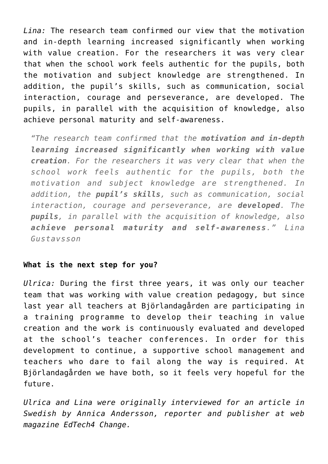*Lina:* The research team confirmed our view that the motivation and in-depth learning increased significantly when working with value creation. For the researchers it was very clear that when the school work feels authentic for the pupils, both the motivation and subject knowledge are strengthened. In addition, the pupil's skills, such as communication, social interaction, courage and perseverance, are developed. The pupils, in parallel with the acquisition of knowledge, also achieve personal maturity and self-awareness.

*"The research team confirmed that the motivation and in-depth learning increased significantly when working with value creation. For the researchers it was very clear that when the school work feels authentic for the pupils, both the motivation and subject knowledge are strengthened. In addition, the pupil's skills, such as communication, social interaction, courage and perseverance, are developed. The pupils, in parallel with the acquisition of knowledge, also achieve personal maturity and self-awareness." Lina Gustavsson*

## **What is the next step for you?**

*Ulrica:* During the first three years, it was only our teacher team that was working with value creation pedagogy, but since last year all teachers at Björlandagården are participating in a training programme to develop their teaching in value creation and the work is continuously evaluated and developed at the school's teacher conferences. In order for this development to continue, a supportive school management and teachers who dare to fail along the way is required. At Björlandagården we have both, so it feels very hopeful for the future.

*Ulrica and Lina were originally interviewed for an article in Swedish by Annica Andersson, reporter and publisher at web magazine EdTech4 Change.*